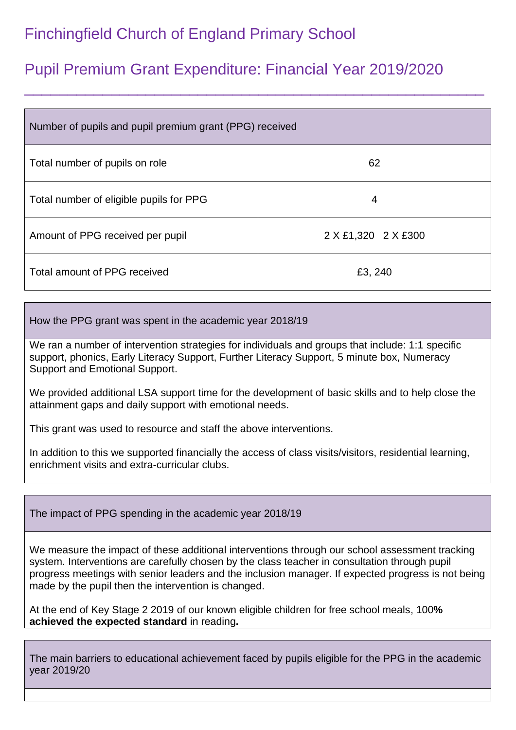## Finchingfield Church of England Primary School

## Pupil Premium Grant Expenditure: Financial Year 2019/2020

\_\_\_\_\_\_\_\_\_\_\_\_\_\_\_\_\_\_\_\_\_\_\_\_\_\_\_\_\_\_\_\_\_\_\_\_\_\_\_\_\_\_\_\_\_\_\_\_\_\_\_\_\_

| Number of pupils and pupil premium grant (PPG) received |                     |
|---------------------------------------------------------|---------------------|
| Total number of pupils on role                          | 62                  |
| Total number of eligible pupils for PPG                 | 4                   |
| Amount of PPG received per pupil                        | 2 X £1,320 2 X £300 |
| Total amount of PPG received                            | £3, 240             |

How the PPG grant was spent in the academic year 2018/19

We ran a number of intervention strategies for individuals and groups that include: 1:1 specific support, phonics, Early Literacy Support, Further Literacy Support, 5 minute box, Numeracy Support and Emotional Support.

We provided additional LSA support time for the development of basic skills and to help close the attainment gaps and daily support with emotional needs.

This grant was used to resource and staff the above interventions.

In addition to this we supported financially the access of class visits/visitors, residential learning, enrichment visits and extra-curricular clubs.

The impact of PPG spending in the academic year 2018/19

We measure the impact of these additional interventions through our school assessment tracking system. Interventions are carefully chosen by the class teacher in consultation through pupil progress meetings with senior leaders and the inclusion manager. If expected progress is not being made by the pupil then the intervention is changed.

At the end of Key Stage 2 2019 of our known eligible children for free school meals, 100**% achieved the expected standard** in reading**.**

The main barriers to educational achievement faced by pupils eligible for the PPG in the academic year 2019/20